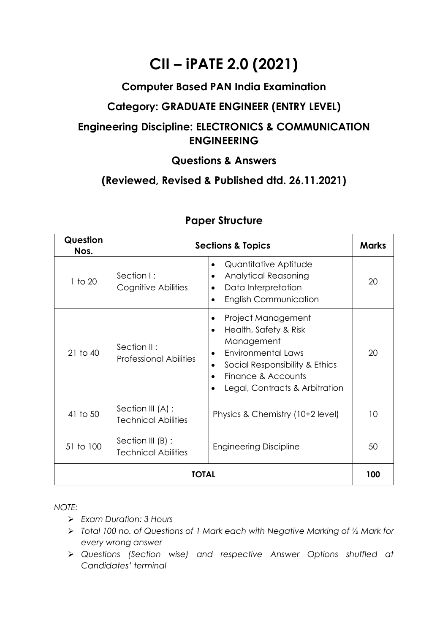# **CII – iPATE 2.0 (2021)**

# **Computer Based PAN India Examination**

# **Category: GRADUATE ENGINEER (ENTRY LEVEL)**

# **Engineering Discipline: ELECTRONICS & COMMUNICATION ENGINEERING**

### **Questions & Answers**

# **(Reviewed, Revised & Published dtd. 26.11.2021)**

| Question<br>Nos. |                                                   | <b>Sections &amp; Topics</b>                                                                                                                                                                                                              | <b>Marks</b> |
|------------------|---------------------------------------------------|-------------------------------------------------------------------------------------------------------------------------------------------------------------------------------------------------------------------------------------------|--------------|
| $1$ to $20$      | Section I:<br>Cognitive Abilities                 | Quantitative Aptitude<br>$\bullet$<br><b>Analytical Reasoning</b><br>٠<br>Data Interpretation<br>٠<br><b>English Communication</b>                                                                                                        | 20           |
| $21$ to $40$     | Section II:<br><b>Professional Abilities</b>      | Project Management<br>٠<br>Health, Safety & Risk<br>$\bullet$<br>Management<br><b>Environmental Laws</b><br>$\bullet$<br>Social Responsibility & Ethics<br>$\bullet$<br>Finance & Accounts<br>$\bullet$<br>Legal, Contracts & Arbitration | 20           |
| 41 to 50         | Section III (A) :<br><b>Technical Abilities</b>   | Physics & Chemistry (10+2 level)                                                                                                                                                                                                          | 10           |
| 51 to 100        | Section III $(B)$ :<br><b>Technical Abilities</b> | <b>Engineering Discipline</b>                                                                                                                                                                                                             | 50           |
|                  | <b>TOTAL</b>                                      |                                                                                                                                                                                                                                           | 100          |

# **Paper Structure**

*NOTE:*

- ➢ *Exam Duration: 3 Hours*
- ➢ *Total 100 no. of Questions of 1 Mark each with Negative Marking of ½ Mark for every wrong answer*
- ➢ *Questions (Section wise) and respective Answer Options shuffled at Candidates' terminal*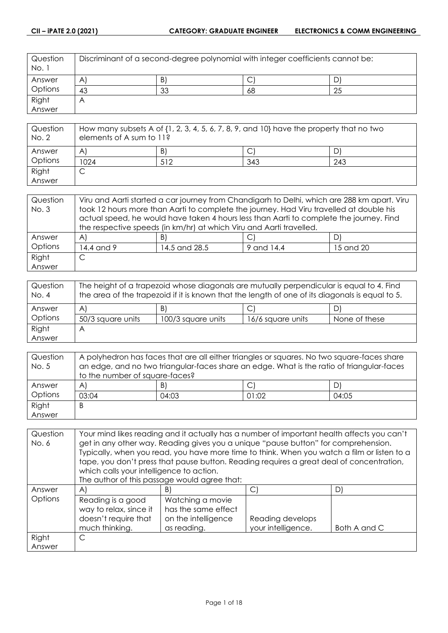| Question<br>No. 1 | Discriminant of a second-degree polynomial with integer coefficients cannot be: |    |    |    |
|-------------------|---------------------------------------------------------------------------------|----|----|----|
| Answer            | A                                                                               | B) |    |    |
| Options           | 43                                                                              | 33 | 68 | 25 |
| Right             | Α                                                                               |    |    |    |
| Answer            |                                                                                 |    |    |    |

| Question<br>No. 2 | How many subsets A of $\{1, 2, 3, 4, 5, 6, 7, 8, 9,$ and $10\}$ have the property that no two<br>elements of A sum to 11? |     |     |     |
|-------------------|---------------------------------------------------------------------------------------------------------------------------|-----|-----|-----|
| Answer            | A                                                                                                                         | B)  |     |     |
| Options           | 1024                                                                                                                      | 512 | 343 | 243 |
| Right             |                                                                                                                           |     |     |     |
| Answer            |                                                                                                                           |     |     |     |

| Question | Viru and Aarti started a car journey from Chandigarh to Delhi, which are 288 km apart. Viru |                                                                                         |  |   |  |
|----------|---------------------------------------------------------------------------------------------|-----------------------------------------------------------------------------------------|--|---|--|
| No. 3    |                                                                                             | took 12 hours more than Aarti to complete the journey. Had Viru travelled at double his |  |   |  |
|          | actual speed, he would have taken 4 hours less than Aarti to complete the journey. Find     |                                                                                         |  |   |  |
|          | the respective speeds (in km/hr) at which Viru and Aarti travelled.                         |                                                                                         |  |   |  |
| Answer   | A                                                                                           | B)                                                                                      |  | D |  |
| Options  | 14.4 and 9<br>14.5 and 28.5<br>15 and 20<br>9 and 14.4                                      |                                                                                         |  |   |  |
| Right    |                                                                                             |                                                                                         |  |   |  |
| Answer   |                                                                                             |                                                                                         |  |   |  |

| Question<br>No. 4 | The height of a trapezoid whose diagonals are mutually perpendicular is equal to 4. Find<br>the area of the trapezoid if it is known that the length of one of its diagonals is equal to 5. |                    |                   |               |  |
|-------------------|---------------------------------------------------------------------------------------------------------------------------------------------------------------------------------------------|--------------------|-------------------|---------------|--|
| Answer            | A<br>D<br>BI<br>◡                                                                                                                                                                           |                    |                   |               |  |
| Options           | 50/3 square units                                                                                                                                                                           | 100/3 square units | 16/6 square units | None of these |  |
| Right             |                                                                                                                                                                                             |                    |                   |               |  |
| Answer            |                                                                                                                                                                                             |                    |                   |               |  |

| Question | A polyhedron has faces that are all either triangles or squares. No two square-faces share |       |       |       |
|----------|--------------------------------------------------------------------------------------------|-------|-------|-------|
| No. 5    | an edge, and no two triangular-faces share an edge. What is the ratio of triangular-faces  |       |       |       |
|          | to the number of square-faces?                                                             |       |       |       |
| Answer   | $\mathsf{A}$                                                                               | B)    | ◡     | D)    |
| Options  | 03:04                                                                                      | 04:03 | 01:02 | 04:05 |
| Right    | B                                                                                          |       |       |       |
| Answer   |                                                                                            |       |       |       |

| Question | Your mind likes reading and it actually has a number of important health affects you can't |                                                                                             |                    |              |
|----------|--------------------------------------------------------------------------------------------|---------------------------------------------------------------------------------------------|--------------------|--------------|
| No. 6    | get in any other way. Reading gives you a unique "pause button" for comprehension.         |                                                                                             |                    |              |
|          |                                                                                            | Typically, when you read, you have more time to think. When you watch a film or listen to a |                    |              |
|          |                                                                                            | tape, you don't press that pause button. Reading requires a great deal of concentration,    |                    |              |
|          | which calls your intelligence to action.                                                   |                                                                                             |                    |              |
|          | The author of this passage would agree that:                                               |                                                                                             |                    |              |
| Answer   | $\mathsf{A}$                                                                               | B)                                                                                          | C)                 | D)           |
| Options  | Reading is a good                                                                          | Watching a movie                                                                            |                    |              |
|          | way to relax, since it                                                                     | has the same effect                                                                         |                    |              |
|          | doesn't require that                                                                       | on the intelligence                                                                         | Reading develops   |              |
|          | much thinking.                                                                             | as reading.                                                                                 | your intelligence. | Both A and C |
| Right    | C                                                                                          |                                                                                             |                    |              |
| Answer   |                                                                                            |                                                                                             |                    |              |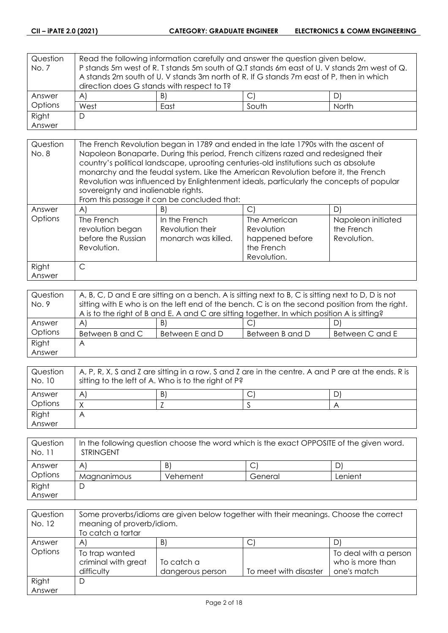| Question | Read the following information carefully and answer the question given below.           |                                                                                             |  |    |
|----------|-----------------------------------------------------------------------------------------|---------------------------------------------------------------------------------------------|--|----|
| No. 7    |                                                                                         | P stands 5m west of R. T stands 5m south of Q.T stands 6m east of U. V stands 2m west of Q. |  |    |
|          | A stands 2m south of U. V stands 3m north of R. If G stands 7m east of P, then in which |                                                                                             |  |    |
|          | direction does G stands with respect to T?                                              |                                                                                             |  |    |
| Answer   | $\mathsf{A}$                                                                            | B)                                                                                          |  | D) |
| Options  | West<br>South<br><b>North</b><br>East                                                   |                                                                                             |  |    |
| Right    | D                                                                                       |                                                                                             |  |    |
| Answer   |                                                                                         |                                                                                             |  |    |

| Question<br>No. 8 | The French Revolution began in 1789 and ended in the late 1790s with the ascent of<br>Napoleon Bonaparte. During this period, French citizens razed and redesigned their<br>country's political landscape, uprooting centuries-old institutions such as absolute<br>monarchy and the feudal system. Like the American Revolution before it, the French<br>Revolution was influenced by Enlightenment ideals, particularly the concepts of popular<br>sovereignty and inalienable rights.<br>From this passage it can be concluded that: |                                                          |                                                                            |                                                 |
|-------------------|-----------------------------------------------------------------------------------------------------------------------------------------------------------------------------------------------------------------------------------------------------------------------------------------------------------------------------------------------------------------------------------------------------------------------------------------------------------------------------------------------------------------------------------------|----------------------------------------------------------|----------------------------------------------------------------------------|-------------------------------------------------|
| Answer            | AI                                                                                                                                                                                                                                                                                                                                                                                                                                                                                                                                      | B)                                                       | C.                                                                         | D)                                              |
| Options           | The French<br>revolution began<br>before the Russian<br>Revolution.                                                                                                                                                                                                                                                                                                                                                                                                                                                                     | In the French<br>Revolution their<br>monarch was killed. | The American<br>Revolution<br>happened before<br>the French<br>Revolution. | Napoleon initiated<br>the French<br>Revolution. |
| Right             | C                                                                                                                                                                                                                                                                                                                                                                                                                                                                                                                                       |                                                          |                                                                            |                                                 |
| Answer            |                                                                                                                                                                                                                                                                                                                                                                                                                                                                                                                                         |                                                          |                                                                            |                                                 |

| Question | A, B, C, D and E are sitting on a bench. A is sitting next to B, C is sitting next to D, D is not |                 |                 |                 |
|----------|---------------------------------------------------------------------------------------------------|-----------------|-----------------|-----------------|
| No. 9    | sitting with E who is on the left end of the bench. C is on the second position from the right.   |                 |                 |                 |
|          | A is to the right of B and E. A and C are sitting together. In which position A is sitting?       |                 |                 |                 |
| Answer   | $\mathsf{A}$                                                                                      | B)              | ◡               |                 |
| Options  | Between B and C                                                                                   | Between E and D | Between B and D | Between C and E |
| Right    | Α                                                                                                 |                 |                 |                 |
| Answer   |                                                                                                   |                 |                 |                 |

| Question<br>No. 10 | $\mid$ A, P, R, X, S and Z are sitting in a row. S and Z are in the centre. A and P are at the ends. R is<br>sitting to the left of A. Who is to the right of P? |    |  |  |
|--------------------|------------------------------------------------------------------------------------------------------------------------------------------------------------------|----|--|--|
| Answer             | A                                                                                                                                                                | BI |  |  |
| Options            |                                                                                                                                                                  |    |  |  |
| Right              | Α                                                                                                                                                                |    |  |  |
| Answer             |                                                                                                                                                                  |    |  |  |

| Question<br>No. 11 | In the following question choose the word which is the exact OPPOSITE of the given word.<br><b>STRINGENT</b> |          |         |         |
|--------------------|--------------------------------------------------------------------------------------------------------------|----------|---------|---------|
| Answer             | A                                                                                                            | B.       |         |         |
| Options            | Magnanimous                                                                                                  | Vehement | General | Lenient |
| Right              |                                                                                                              |          |         |         |
| Answer             |                                                                                                              |          |         |         |

| Question<br>No. 12 | Some proverbs/idioms are given below together with their meanings. Choose the correct<br>meaning of proverb/idiom.<br>To catch a tartar |                  |                       |                       |
|--------------------|-----------------------------------------------------------------------------------------------------------------------------------------|------------------|-----------------------|-----------------------|
| Answer             | A                                                                                                                                       | B)               | ◡                     | D)                    |
| Options            | To trap wanted                                                                                                                          |                  |                       | To deal with a person |
|                    | criminal with great                                                                                                                     | To catch a       |                       | who is more than      |
|                    | difficulty                                                                                                                              | dangerous person | To meet with disaster | one's match           |
| Right              | D                                                                                                                                       |                  |                       |                       |
| Answer             |                                                                                                                                         |                  |                       |                       |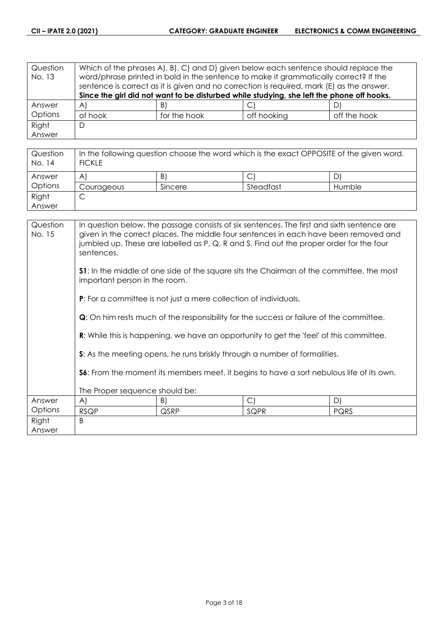| Question<br>No. 13 | Which of the phrases A, B, C, and D, given below each sentence should replace the<br>word/phrase printed in bold in the sentence to make it grammatically correct? If the<br>sentence is correct as it is given and no correction is required, mark (E) as the answer. |              |             |              |
|--------------------|------------------------------------------------------------------------------------------------------------------------------------------------------------------------------------------------------------------------------------------------------------------------|--------------|-------------|--------------|
|                    | Since the girl did not want to be disturbed while studying, she left the phone off hooks.                                                                                                                                                                              |              |             |              |
| Answer             | $\forall$                                                                                                                                                                                                                                                              | B)           |             | D)           |
| Options            | of hook                                                                                                                                                                                                                                                                | for the hook | off hooking | off the hook |
| Right              | D                                                                                                                                                                                                                                                                      |              |             |              |
| Answer             |                                                                                                                                                                                                                                                                        |              |             |              |

| Question<br>No. 14 | In the following question choose the word which is the exact OPPOSITE of the given word.<br><b>FICKLE</b> |         |           |        |
|--------------------|-----------------------------------------------------------------------------------------------------------|---------|-----------|--------|
| Answer             | A                                                                                                         | B)      |           | D      |
| Options            | Courageous                                                                                                | Sincere | Steadfast | Humble |
| Right              | ◡                                                                                                         |         |           |        |
| Answer             |                                                                                                           |         |           |        |

| Question<br>No. 15 | In question below, the passage consists of six sentences. The first and sixth sentence are<br>given in the correct places. The middle four sentences in each have been removed and<br>jumbled up. These are labelled as P, Q, R and S. Find out the proper order for the four<br>sentences. |                                                                         |                                                                                                |      |  |
|--------------------|---------------------------------------------------------------------------------------------------------------------------------------------------------------------------------------------------------------------------------------------------------------------------------------------|-------------------------------------------------------------------------|------------------------------------------------------------------------------------------------|------|--|
|                    | <b>S1</b> : In the middle of one side of the square sits the Chairman of the committee, the most<br>important person in the room.                                                                                                                                                           |                                                                         |                                                                                                |      |  |
|                    |                                                                                                                                                                                                                                                                                             | <b>P:</b> For a committee is not just a mere collection of individuals. |                                                                                                |      |  |
|                    | <b>Q</b> : On him rests much of the responsibility for the success or failure of the committee.                                                                                                                                                                                             |                                                                         |                                                                                                |      |  |
|                    |                                                                                                                                                                                                                                                                                             |                                                                         | <b>R:</b> While this is happening, we have an opportunity to get the 'feel' of this committee. |      |  |
|                    |                                                                                                                                                                                                                                                                                             |                                                                         | S: As the meeting opens, he runs briskly through a number of formalities.                      |      |  |
|                    | <b>S6:</b> From the moment its members meet, it begins to have a sort nebulous life of its own.                                                                                                                                                                                             |                                                                         |                                                                                                |      |  |
|                    | The Proper sequence should be:                                                                                                                                                                                                                                                              |                                                                         |                                                                                                |      |  |
| Answer             | $\mathsf{A}$                                                                                                                                                                                                                                                                                | B)                                                                      | $\bigcirc$                                                                                     | D)   |  |
| Options            | <b>RSQP</b>                                                                                                                                                                                                                                                                                 | QSRP                                                                    | SQPR                                                                                           | PQRS |  |
| Right              | B                                                                                                                                                                                                                                                                                           |                                                                         |                                                                                                |      |  |
| Answer             |                                                                                                                                                                                                                                                                                             |                                                                         |                                                                                                |      |  |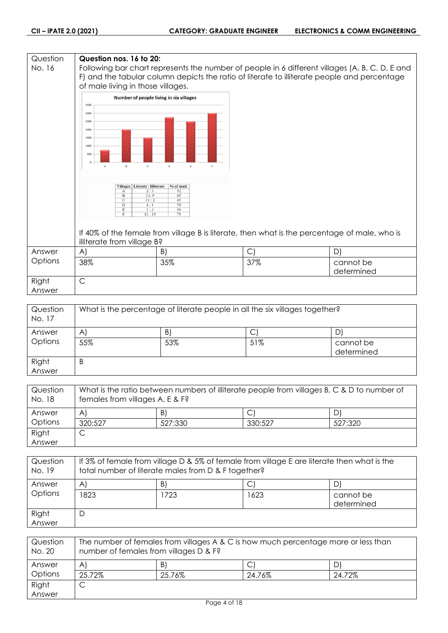| Question<br>No. 16 | Question nos. 16 to 20:<br>of male living in those villages.                                                                                                                                                                            |                                                                                                                                                        |            | Following bar chart represents the number of people in 6 different villages (A, B, C, D, E and<br>F) and the tabular column depicts the ratio of literate to illiterate people and percentage |
|--------------------|-----------------------------------------------------------------------------------------------------------------------------------------------------------------------------------------------------------------------------------------|--------------------------------------------------------------------------------------------------------------------------------------------------------|------------|-----------------------------------------------------------------------------------------------------------------------------------------------------------------------------------------------|
|                    | 3500<br>3000<br>2500<br>2000<br>1500<br>1000<br>500<br>$\mathbb C$<br>$\mathsf{B}$<br>$\Delta$<br>Villages   Literate : Illiterate<br>$\mathbf A$<br>$\bf{B}$<br>$\overline{c}$<br>D<br>E<br>$\mathbf{F}$<br>illiterate from village B? | Number of people living in six villages<br>$\circ$<br>E<br>% of male<br>52<br>2:3<br>11:9<br>65<br>13:2<br>45<br>4:1<br>70<br>39<br>1:3<br>75<br>11:19 |            | If 40% of the female from village B is literate, then what is the percentage of male, who is                                                                                                  |
| Answer             | A)                                                                                                                                                                                                                                      | B)                                                                                                                                                     | $\bigcirc$ | D)                                                                                                                                                                                            |
| Options            | 38%                                                                                                                                                                                                                                     | 35%                                                                                                                                                    | 37%        | cannot be<br>determined                                                                                                                                                                       |
| Right<br>Answer    | $\mathsf{C}$                                                                                                                                                                                                                            |                                                                                                                                                        |            |                                                                                                                                                                                               |

| Question<br>No. 17 | What is the percentage of literate people in all the six villages together? |     |     |                         |
|--------------------|-----------------------------------------------------------------------------|-----|-----|-------------------------|
| Answer             | A                                                                           | B)  |     |                         |
| Options            | 55%                                                                         | 53% | 51% | cannot be<br>determined |
| Right<br>Answer    | B                                                                           |     |     |                         |

| Question<br>No. 18 | What is the ratio between numbers of illiterate people from villages B, C & D to number of<br>females from villages A, E & F? |         |         |         |
|--------------------|-------------------------------------------------------------------------------------------------------------------------------|---------|---------|---------|
| Answer             | A                                                                                                                             | B)      |         | D)      |
| Options            | 320:527                                                                                                                       | 527:330 | 330:527 | 527:320 |
| Right              |                                                                                                                               |         |         |         |
| Answer             |                                                                                                                               |         |         |         |

| Question<br>No. 19 | If 3% of female from village D & 5% of female from village E are literate then what is the<br>total number of literate males from D & F together? |      |      |                         |
|--------------------|---------------------------------------------------------------------------------------------------------------------------------------------------|------|------|-------------------------|
| Answer             | $\mathsf{A}^{\prime}$                                                                                                                             | B)   |      | D)                      |
| Options            | 1823.                                                                                                                                             | 1723 | 1623 | cannot be<br>determined |
| Right<br>Answer    | D                                                                                                                                                 |      |      |                         |

| Question<br>No. 20 | The number of females from villages A & C is how much percentage more or less than<br>number of females from villages D & F? |        |        |        |
|--------------------|------------------------------------------------------------------------------------------------------------------------------|--------|--------|--------|
| Answer             | $\mathsf{A}$                                                                                                                 | B)     |        |        |
| Options            | 25.72%                                                                                                                       | 25.76% | 24.76% | 24.72% |
| Right              | ٮ                                                                                                                            |        |        |        |
| Answer             |                                                                                                                              |        |        |        |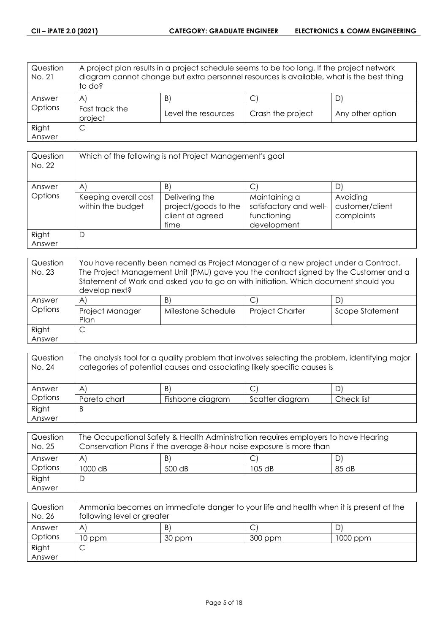| Question<br>No. 21 | to do?                    | A project plan results in a project schedule seems to be too long. If the project network<br>diagram cannot change but extra personnel resources is available, what is the best thing |                   |                  |
|--------------------|---------------------------|---------------------------------------------------------------------------------------------------------------------------------------------------------------------------------------|-------------------|------------------|
| Answer             | AI                        | B)                                                                                                                                                                                    | С                 |                  |
| Options            | Fast track the<br>project | Level the resources                                                                                                                                                                   | Crash the project | Any other option |
| Right              | C                         |                                                                                                                                                                                       |                   |                  |
| Answer             |                           |                                                                                                                                                                                       |                   |                  |

| Question<br>No. 22 | Which of the following is not Project Management's goal |                                                                    |                                                                       |                                           |  |
|--------------------|---------------------------------------------------------|--------------------------------------------------------------------|-----------------------------------------------------------------------|-------------------------------------------|--|
| Answer             | $\mathsf{A}$                                            | B)                                                                 | C                                                                     |                                           |  |
| Options            | Keeping overall cost<br>within the budget               | Delivering the<br>project/goods to the<br>client at agreed<br>time | Maintaining a<br>satisfactory and well-<br>functioning<br>development | Avoiding<br>customer/client<br>complaints |  |
| Right<br>Answer    | D                                                       |                                                                    |                                                                       |                                           |  |

| Question<br>No. 23 | You have recently been named as Project Manager of a new project under a Contract.<br>The Project Management Unit (PMU) gave you the contract signed by the Customer and a<br>Statement of Work and asked you to go on with initiation. Which document should you<br>develop next? |                    |                        |                 |
|--------------------|------------------------------------------------------------------------------------------------------------------------------------------------------------------------------------------------------------------------------------------------------------------------------------|--------------------|------------------------|-----------------|
| Answer             | A                                                                                                                                                                                                                                                                                  | B)                 | C                      | D               |
| Options            | Project Manager<br>Plan                                                                                                                                                                                                                                                            | Milestone Schedule | <b>Project Charter</b> | Scope Statement |
| Right              |                                                                                                                                                                                                                                                                                    |                    |                        |                 |
| Answer             |                                                                                                                                                                                                                                                                                    |                    |                        |                 |

| Question<br>No. 24 | The analysis tool for a quality problem that involves selecting the problem, identifying major<br>categories of potential causes and associating likely specific causes is |                  |                 |            |
|--------------------|----------------------------------------------------------------------------------------------------------------------------------------------------------------------------|------------------|-----------------|------------|
| Answer             | $\mathsf{A}^{\prime}$                                                                                                                                                      | B)               |                 |            |
| Options            | Pareto chart                                                                                                                                                               | Fishbone diagram | Scatter diagram | Check list |
| Right              | B                                                                                                                                                                          |                  |                 |            |
| Answer             |                                                                                                                                                                            |                  |                 |            |

| Question<br>No. 25 | The Occupational Safety & Health Administration requires employers to have Hearing<br>Conservation Plans if the average 8-hour noise exposure is more than |        |          |       |
|--------------------|------------------------------------------------------------------------------------------------------------------------------------------------------------|--------|----------|-------|
| Answer             | A                                                                                                                                                          | B)     |          |       |
| Options            | 1000 dB                                                                                                                                                    | 500 dB | $105$ dB | 85 dB |
| Right              |                                                                                                                                                            |        |          |       |
| Answer             |                                                                                                                                                            |        |          |       |

| Question<br>No. 26 | Ammonia becomes an immediate danger to your life and health when it is present at the<br>following level or greater |        |         |          |
|--------------------|---------------------------------------------------------------------------------------------------------------------|--------|---------|----------|
| Answer             | A                                                                                                                   | B      |         |          |
| Options            | 10 ppm                                                                                                              | 30 ppm | 300 ppm | 1000 ppm |
| Right              | ◡                                                                                                                   |        |         |          |
| Answer             |                                                                                                                     |        |         |          |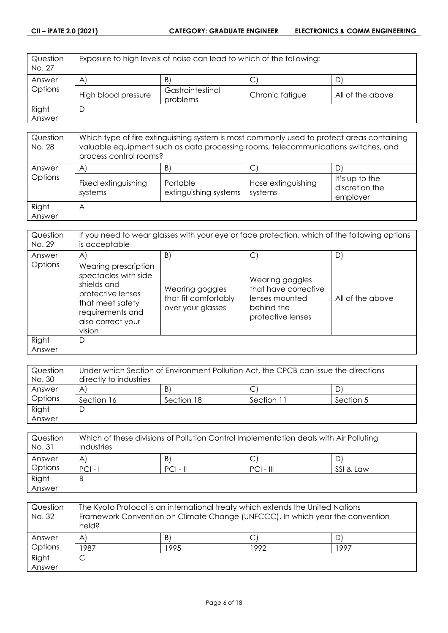| Question<br>No. 27 | Exposure to high levels of noise can lead to which of the following: |                              |                 |                  |
|--------------------|----------------------------------------------------------------------|------------------------------|-----------------|------------------|
| Answer             | $\mathsf{A}$                                                         | B)                           | $\mathsf{C}$    | D                |
| Options            | High blood pressure                                                  | Gastrointestinal<br>problems | Chronic fatigue | All of the above |
| Right              | D                                                                    |                              |                 |                  |
| Answer             |                                                                      |                              |                 |                  |

| Question<br>No. 28 | Which type of fire extinguishing system is most commonly used to protect areas containing<br>valuable equipment such as data processing rooms, telecommunications switches, and<br>process control rooms? |                                         |                               |                                                   |
|--------------------|-----------------------------------------------------------------------------------------------------------------------------------------------------------------------------------------------------------|-----------------------------------------|-------------------------------|---------------------------------------------------|
| Answer<br>Options  | $\mathsf{A}$<br>Fixed extinguishing<br>systems                                                                                                                                                            | B)<br>Portable<br>extinguishing systems | Hose extinguishing<br>systems | D<br>It's up to the<br>discretion the<br>employer |
| Right<br>Answer    | A                                                                                                                                                                                                         |                                         |                               |                                                   |

| Question<br>No. 29 | If you need to wear glasses with your eye or face protection, which of the following options<br>is acceptable                                           |                                                              |                                                                                              |                  |
|--------------------|---------------------------------------------------------------------------------------------------------------------------------------------------------|--------------------------------------------------------------|----------------------------------------------------------------------------------------------|------------------|
| Answer             | $\mathsf{A}$                                                                                                                                            | B)                                                           | С                                                                                            | D                |
| <b>Options</b>     | Wearing prescription<br>spectacles with side<br>shields and<br>protective lenses<br>that meet safety<br>requirements and<br>also correct your<br>vision | Wearing goggles<br>that fit comfortably<br>over your glasses | Wearing goggles<br>that have corrective<br>lenses mounted<br>behind the<br>protective lenses | All of the above |
| Right<br>Answer    | D                                                                                                                                                       |                                                              |                                                                                              |                  |

| Question | Under which Section of Environment Pollution Act, the CPCB can issue the directions |            |            |           |
|----------|-------------------------------------------------------------------------------------|------------|------------|-----------|
| No. 30   | directly to industries                                                              |            |            |           |
| Answer   | A                                                                                   | B)         |            | DI        |
| Options  | Section 16                                                                          | Section 18 | Section 11 | Section 5 |
| Right    | C                                                                                   |            |            |           |
| Answer   |                                                                                     |            |            |           |

| Question<br>No. 31 | Which of these divisions of Pollution Control Implementation deals with Air Polluting<br>Industries |            |             |           |
|--------------------|-----------------------------------------------------------------------------------------------------|------------|-------------|-----------|
| Answer             | A                                                                                                   | B)         | C           |           |
| Options            | $PCI -$                                                                                             | $PCI - II$ | $PCI - III$ | SSI & Law |
| Right              | B                                                                                                   |            |             |           |
| Answer             |                                                                                                     |            |             |           |

| Question<br>No. 32 | The Kyoto Protocol is an international treaty which extends the United Nations<br>Framework Convention on Climate Change (UNFCCC). In which year the convention<br>held? |      |      |      |
|--------------------|--------------------------------------------------------------------------------------------------------------------------------------------------------------------------|------|------|------|
| Answer             | $\mathsf{A}^{\mathsf{c}}$                                                                                                                                                | B    | С    | D    |
| Options            | 1987                                                                                                                                                                     | 1995 | 1992 | 1997 |
| Right              |                                                                                                                                                                          |      |      |      |
| Answer             |                                                                                                                                                                          |      |      |      |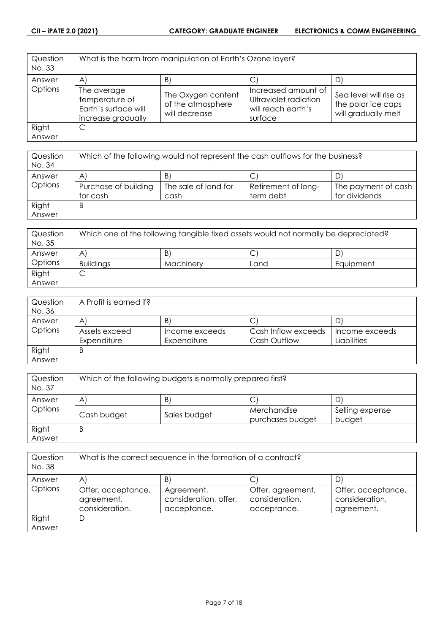| Question<br>No. 33 | What is the harm from manipulation of Earth's Ozone layer?                  |                                                          |                                                                               |                                                                     |
|--------------------|-----------------------------------------------------------------------------|----------------------------------------------------------|-------------------------------------------------------------------------------|---------------------------------------------------------------------|
| Answer             | $\mathsf{A}$                                                                | B)                                                       | С                                                                             | DI                                                                  |
| Options            | The average<br>temperature of<br>Earth's surface will<br>increase gradually | The Oxygen content<br>of the atmosphere<br>will decrease | Increased amount of<br>Ultraviolet radiation<br>will reach earth's<br>surface | Sea level will rise as<br>the polar ice caps<br>will gradually melt |
| Right              |                                                                             |                                                          |                                                                               |                                                                     |
| Answer             |                                                                             |                                                          |                                                                               |                                                                     |

| Question<br>No. 34 | Which of the following would not represent the cash outflows for the business? |                      |                     |                     |
|--------------------|--------------------------------------------------------------------------------|----------------------|---------------------|---------------------|
| Answer             | $\mathsf{A}^{\prime}$                                                          | B)                   |                     |                     |
| Options            | Purchase of building                                                           | The sale of land for | Retirement of long- | The payment of cash |
|                    | for cash                                                                       | cash                 | term debt           | for dividends       |
| Right              | B                                                                              |                      |                     |                     |
| Answer             |                                                                                |                      |                     |                     |

| Question<br>No. 35 | Which one of the following tangible fixed assets would not normally be depreciated? |           |      |           |
|--------------------|-------------------------------------------------------------------------------------|-----------|------|-----------|
| Answer             | A                                                                                   | B         | ◡    |           |
| Options            | <b>Buildings</b>                                                                    | Machinery | Land | Equipment |
| Right              | ◡                                                                                   |           |      |           |
| Answer             |                                                                                     |           |      |           |

| Question | A Profit is earned if? |                |                     |                |
|----------|------------------------|----------------|---------------------|----------------|
| No. 36   |                        |                |                     |                |
| Answer   | A                      | B              | ◡                   |                |
| Options  | Assets exceed          | Income exceeds | Cash Inflow exceeds | Income exceeds |
|          | Expenditure            | Expenditure    | Cash Outflow        | Liabilities    |
| Right    | B                      |                |                     |                |
| Answer   |                        |                |                     |                |

| Question<br>No. 37 | Which of the following budgets is normally prepared first? |              |                                 |                           |
|--------------------|------------------------------------------------------------|--------------|---------------------------------|---------------------------|
| Answer             | B<br>A                                                     |              |                                 |                           |
| Options            | Cash budget                                                | Sales budget | Merchandise<br>purchases budget | Selling expense<br>budget |
| Right<br>Answer    | B                                                          |              |                                 |                           |

| Question<br>No. 38 | What is the correct sequence in the formation of a contract? |                                                    |                                                    |                                                    |
|--------------------|--------------------------------------------------------------|----------------------------------------------------|----------------------------------------------------|----------------------------------------------------|
| Answer             | A                                                            | B)                                                 | ◡                                                  | D                                                  |
| Options            | Offer, acceptance,<br>agreement,<br>consideration.           | Agreement,<br>consideration, offer,<br>acceptance. | Offer, agreement,<br>consideration,<br>acceptance. | Offer, acceptance,<br>consideration,<br>agreement. |
| Right              | D                                                            |                                                    |                                                    |                                                    |
| Answer             |                                                              |                                                    |                                                    |                                                    |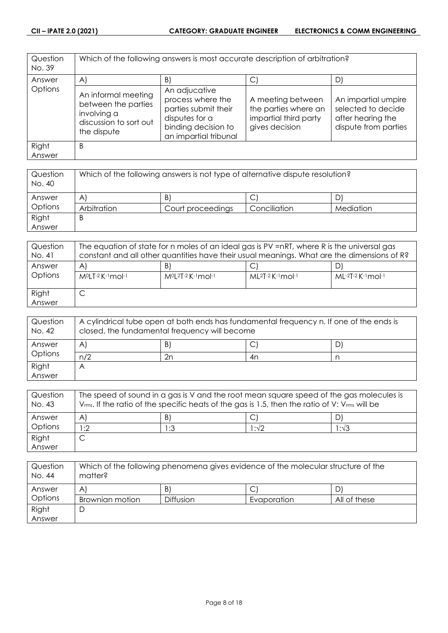| Question<br>No. 39 | Which of the following answers is most accurate description of arbitration?                        |                                                                                                                              |                                                                                      |                                                                                        |
|--------------------|----------------------------------------------------------------------------------------------------|------------------------------------------------------------------------------------------------------------------------------|--------------------------------------------------------------------------------------|----------------------------------------------------------------------------------------|
| Answer             | $\mathsf{A}$                                                                                       | B)                                                                                                                           | $\vert$ C                                                                            | D                                                                                      |
| Options            | An informal meeting<br>between the parties<br>involving a<br>discussion to sort out<br>the dispute | An adjucative<br>process where the<br>parties submit their<br>disputes for a<br>binding decision to<br>an impartial tribunal | A meeting between<br>the parties where an<br>impartial third party<br>gives decision | An impartial umpire<br>selected to decide<br>after hearing the<br>dispute from parties |
| Right<br>Answer    | B                                                                                                  |                                                                                                                              |                                                                                      |                                                                                        |

| Question<br>No. 40 | Which of the following answers is not type of alternative dispute resolution? |                   |              |           |
|--------------------|-------------------------------------------------------------------------------|-------------------|--------------|-----------|
| Answer             | A                                                                             | B                 |              |           |
| Options            | Arbitration                                                                   | Court proceedings | Conciliation | Mediation |
| Right              | B                                                                             |                   |              |           |
| Answer             |                                                                               |                   |              |           |

| Question<br>No. 41 | The equation of state for n moles of an ideal gas is PV =nRT, where R is the universal gas<br>constant and all other quantities have their usual meanings. What are the dimensions of R? |                                        |                             |                   |
|--------------------|------------------------------------------------------------------------------------------------------------------------------------------------------------------------------------------|----------------------------------------|-----------------------------|-------------------|
| Answer<br>Options  | $\mathsf{A}$<br>MºLT-2 K-1 mol-1                                                                                                                                                         | B)<br>$M^{0}L^{2}T^{-2}K^{-1}mol^{-1}$ | $ML^{2}T-2$ K $-1$ mol $-1$ | ML-2T-2 K-1 mol-1 |
| Right<br>Answer    | ٮ                                                                                                                                                                                        |                                        |                             |                   |

| Question<br>No. 42 | A cylindrical tube open at both ends has fundamental frequency n. If one of the ends is<br>closed, the fundamental frequency will become |    |    |  |
|--------------------|------------------------------------------------------------------------------------------------------------------------------------------|----|----|--|
| Answer             | A                                                                                                                                        | B) | ◡  |  |
| Options            | n/2                                                                                                                                      | 2n | 4n |  |
| Right              |                                                                                                                                          |    |    |  |
| Answer             |                                                                                                                                          |    |    |  |

| Question<br>No. 43 | The speed of sound in a gas is V and the root mean square speed of the gas molecules is<br>$V_{rms}$ . If the ratio of the specific heats of the gas is 1.5, then the ratio of V: $V_{rms}$ will be |     |      |               |
|--------------------|-----------------------------------------------------------------------------------------------------------------------------------------------------------------------------------------------------|-----|------|---------------|
| Answer             | A                                                                                                                                                                                                   | B   |      |               |
| Options            | :2                                                                                                                                                                                                  | 1:3 | 1:√2 | $1:1\sqrt{3}$ |
| Right              |                                                                                                                                                                                                     |     |      |               |
| Answer             |                                                                                                                                                                                                     |     |      |               |

| Question<br>No. 44 | Which of the following phenomena gives evidence of the molecular structure of the<br>matter? |           |             |              |
|--------------------|----------------------------------------------------------------------------------------------|-----------|-------------|--------------|
| Answer             | A                                                                                            | B         | С           |              |
| Options            | Brownian motion                                                                              | Diffusion | Evaporation | All of these |
| Right              | └                                                                                            |           |             |              |
| Answer             |                                                                                              |           |             |              |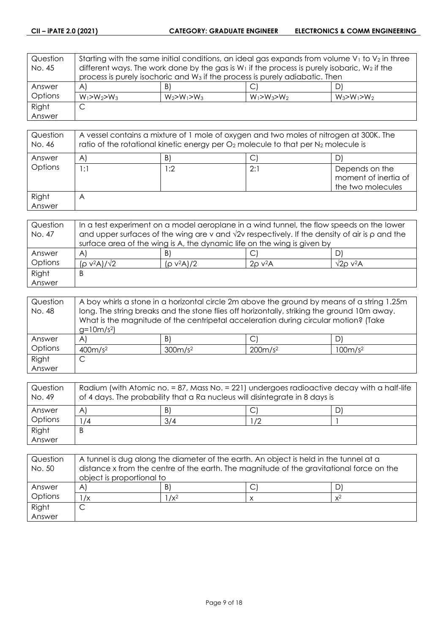| Question | Starting with the same initial conditions, an ideal gas expands from volume $V_1$ to $V_2$ in three |                                                                                                   |                       |                   |
|----------|-----------------------------------------------------------------------------------------------------|---------------------------------------------------------------------------------------------------|-----------------------|-------------------|
| No. 45   |                                                                                                     | different ways. The work done by the gas is $W_1$ if the process is purely isobaric, $W_2$ if the |                       |                   |
|          | process is purely isochoric and W <sub>3</sub> if the process is purely adiabatic. Then             |                                                                                                   |                       |                   |
| Answer   | $\mathsf{A}$                                                                                        | B)                                                                                                | $\mathsf{C}^{\prime}$ |                   |
| Options  | $W_1 > W_2 > W_3$                                                                                   | $W_2 > W_1 > W_3$                                                                                 | $W_1 > W_3 > W_2$     | $W_3 > W_1 > W_2$ |
| Right    | C                                                                                                   |                                                                                                   |                       |                   |
| Answer   |                                                                                                     |                                                                                                   |                       |                   |

| Question<br>No. 46 | A vessel contains a mixture of 1 mole of oxygen and two moles of nitrogen at 300K. The<br>ratio of the rotational kinetic energy per $O_2$ molecule to that per $N_2$ molecule is |     |     |                                                             |
|--------------------|-----------------------------------------------------------------------------------------------------------------------------------------------------------------------------------|-----|-----|-------------------------------------------------------------|
| Answer             | A                                                                                                                                                                                 | B)  |     | D                                                           |
| Options            | 1:1                                                                                                                                                                               | 1:2 | 2:1 | Depends on the<br>moment of inertia of<br>the two molecules |
| Right<br>Answer    | Α                                                                                                                                                                                 |     |     |                                                             |

| Question | In a test experiment on a model aeroplane in a wind tunnel, the flow speeds on the lower                   |               |                          |                     |
|----------|------------------------------------------------------------------------------------------------------------|---------------|--------------------------|---------------------|
| No. 47   | and upper surfaces of the wing are v and $\sqrt{2}v$ respectively. If the density of air is $\rho$ and the |               |                          |                     |
|          | surface area of the wing is A, the dynamic life on the wing is given by                                    |               |                          |                     |
| Answer   | A                                                                                                          | B             |                          |                     |
| Options  | $(\rho$ v <sup>2</sup> A $)/\sqrt{2}$                                                                      | $(p v^2 A)/2$ | $2\rho$ v <sup>2</sup> A | $\sqrt{2}$ o v $2A$ |
| Right    | Β                                                                                                          |               |                          |                     |
| Answer   |                                                                                                            |               |                          |                     |

| Question | A boy whirls a stone in a horizontal circle 2m above the ground by means of a string 1.25m  |                     |                                                                                     |                     |
|----------|---------------------------------------------------------------------------------------------|---------------------|-------------------------------------------------------------------------------------|---------------------|
| No. 48   | long. The string breaks and the stone flies off horizontally, striking the ground 10m away. |                     |                                                                                     |                     |
|          |                                                                                             |                     | What is the magnitude of the centripetal acceleration during circular motion? (Take |                     |
|          | $g=10m/s^2$                                                                                 |                     |                                                                                     |                     |
| Answer   | $\mathsf{A}$                                                                                | B)                  |                                                                                     | D                   |
| Options  | 400m/s <sup>2</sup>                                                                         | 300m/s <sup>2</sup> | 200m/s <sup>2</sup>                                                                 | 100m/s <sup>2</sup> |
| Right    | ◡                                                                                           |                     |                                                                                     |                     |
| Answer   |                                                                                             |                     |                                                                                     |                     |

| Question<br>No. 49 | Radium (with Atomic no. = 87, Mass No. = 221) undergoes radioactive decay with a half-life<br>of 4 days. The probability that a Ra nucleus will disintegrate in 8 days is |     |    |  |
|--------------------|---------------------------------------------------------------------------------------------------------------------------------------------------------------------------|-----|----|--|
| Answer             | A                                                                                                                                                                         | B)  |    |  |
| Options            | /4                                                                                                                                                                        | 3/4 | /2 |  |
| Right              | B                                                                                                                                                                         |     |    |  |
| Answer             |                                                                                                                                                                           |     |    |  |

| Question<br>No. 50 | A tunnel is dug along the diameter of the earth. An object is held in the tunnel at a<br>distance x from the centre of the earth. The magnitude of the gravitational force on the<br>object is proportional to |         |   |       |
|--------------------|----------------------------------------------------------------------------------------------------------------------------------------------------------------------------------------------------------------|---------|---|-------|
| Answer             | A                                                                                                                                                                                                              | B       | С |       |
| Options            | $\sqrt{x}$                                                                                                                                                                                                     | $1/x^2$ |   | $x^2$ |
| Right              |                                                                                                                                                                                                                |         |   |       |
| Answer             |                                                                                                                                                                                                                |         |   |       |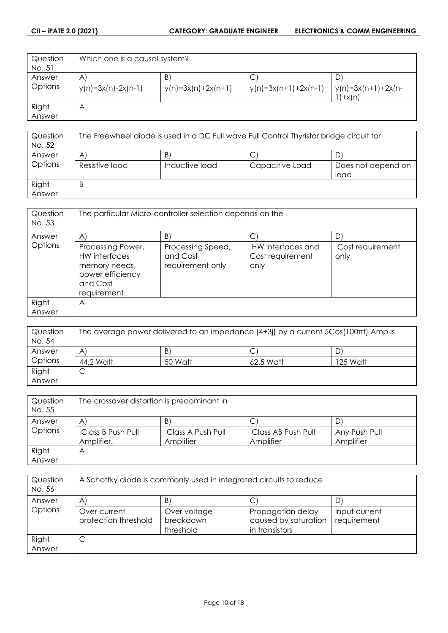| Question | Which one is a causal system? |                      |                        |                    |
|----------|-------------------------------|----------------------|------------------------|--------------------|
| No. 51   |                               |                      |                        |                    |
| Answer   | $\mathsf{A}$                  | B)                   | C                      | D                  |
| Options  | $y(n)=3x(n)-2x(n-1)$          | $y(n)=3x(n)+2x(n+1)$ | $y(n)=3x(n+1)+2x(n-1)$ | y(n)=3x(n+1)+2x(n- |
|          |                               |                      |                        | $'$ )+x(n)         |
| Right    | Α                             |                      |                        |                    |
| Answer   |                               |                      |                        |                    |

| Question<br>No. 52 | The Freewheel diode is used in a DC Full wave Full Control Thyristor bridge circuit for |                |                 |                            |
|--------------------|-----------------------------------------------------------------------------------------|----------------|-----------------|----------------------------|
| Answer             | A                                                                                       | B)             |                 |                            |
| Options            | Resistive load                                                                          | Inductive load | Capacitive Load | Does not depend on<br>load |
| Right<br>Answer    | B                                                                                       |                |                 |                            |

| Question<br>No. 53 | The particular Micro-controller selection depends on the                                           |                                                   |                                               |                          |
|--------------------|----------------------------------------------------------------------------------------------------|---------------------------------------------------|-----------------------------------------------|--------------------------|
| Answer             | $\mathsf{A}$                                                                                       | B)                                                |                                               | D                        |
| Options            | Processing Power,<br>HW interfaces<br>memory needs,<br>power efficiency<br>and Cost<br>requirement | Processing Speed,<br>and Cost<br>requirement only | HW interfaces and<br>Cost requirement<br>only | Cost requirement<br>only |
| Right              | A                                                                                                  |                                                   |                                               |                          |
| Answer             |                                                                                                    |                                                   |                                               |                          |

| Question<br>No. 54 | The average power delivered to an impedance $(4+3j)$ by a current $5Cos(100\pi t)$ Amp is |         |           |          |
|--------------------|-------------------------------------------------------------------------------------------|---------|-----------|----------|
| Answer             | A                                                                                         | B       |           |          |
| Options            | 44.2 Watt                                                                                 | 50 Watt | 62.5 Watt | 125 Watt |
| Right              | ◡                                                                                         |         |           |          |
| Answer             |                                                                                           |         |           |          |

| Question<br>No. 55 | The crossover distortion is predominant in |                                |                                 |                            |
|--------------------|--------------------------------------------|--------------------------------|---------------------------------|----------------------------|
| Answer             | A                                          | B                              |                                 | D                          |
| Options            | Class B Push Pull<br>Amplifier.            | Class A Push Pull<br>Amplifier | Class AB Push Pull<br>Amplifier | Any Push Pull<br>Amplifier |
| Right              | Α                                          |                                |                                 |                            |
| Answer             |                                            |                                |                                 |                            |

| Question<br>No. 56 | A Schottky diode is commonly used in integrated circuits to reduce |                                        |                                                             |                              |
|--------------------|--------------------------------------------------------------------|----------------------------------------|-------------------------------------------------------------|------------------------------|
| Answer             | $\mathsf{A}$                                                       | B'                                     |                                                             | D'                           |
| Options            | Over-current<br>protection threshold                               | Over voltage<br>breakdown<br>threshold | Propagation delay<br>caused by saturation<br>in transistors | Input current<br>requirement |
| Right<br>Answer    | ◡                                                                  |                                        |                                                             |                              |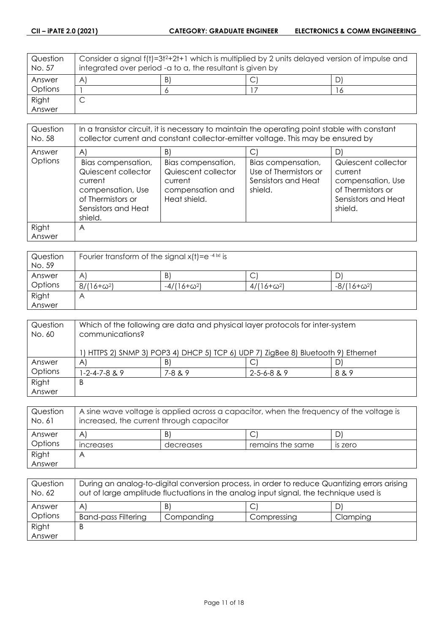| Question<br>No. 57 | Consider a signal f(t)=3t <sup>2</sup> +2t+1 which is multiplied by 2 units delayed version of impulse and<br>integrated over period -a to a, the resultant is given by |  |  |   |
|--------------------|-------------------------------------------------------------------------------------------------------------------------------------------------------------------------|--|--|---|
| Answer             | B<br>A                                                                                                                                                                  |  |  |   |
| Options            |                                                                                                                                                                         |  |  | Ō |
| Right              |                                                                                                                                                                         |  |  |   |
| Answer             |                                                                                                                                                                         |  |  |   |

| Question<br>No. 58 | In a transistor circuit, it is necessary to maintain the operating point stable with constant<br>collector current and constant collector-emitter voltage. This may be ensured by |                                                                                          |                                                                               |                                                                                                            |
|--------------------|-----------------------------------------------------------------------------------------------------------------------------------------------------------------------------------|------------------------------------------------------------------------------------------|-------------------------------------------------------------------------------|------------------------------------------------------------------------------------------------------------|
| Answer             | $\mathsf{A}$                                                                                                                                                                      | B)                                                                                       |                                                                               | D)                                                                                                         |
| Options            | Bias compensation,<br>Quiescent collector<br>current<br>compensation, Use<br>of Thermistors or<br>Sensistors and Heat<br>shield.                                                  | Bias compensation,<br>Quiescent collector<br>current<br>compensation and<br>Heat shield. | Bias compensation,<br>Use of Thermistors or<br>Sensistors and Heat<br>shield. | Quiescent collector<br>current<br>compensation, Use<br>of Thermistors or<br>Sensistors and Heat<br>shield. |
| Right              | A                                                                                                                                                                                 |                                                                                          |                                                                               |                                                                                                            |
| Answer             |                                                                                                                                                                                   |                                                                                          |                                                                               |                                                                                                            |

| Question<br>No. 59 | Fourier transform of the signal $x(t) = e^{-4 x }$ is |                    |                   |                    |
|--------------------|-------------------------------------------------------|--------------------|-------------------|--------------------|
| Answer             | A                                                     | B                  | С                 | ്                  |
| Options            | $8/(16+\omega^2)$                                     | $-4/(16+\omega^2)$ | $4/(16+\omega^2)$ | $-8/(16+\omega^2)$ |
| Right              | Α                                                     |                    |                   |                    |
| Answer             |                                                       |                    |                   |                    |

| Question<br>No. 60 | Which of the following are data and physical layer protocols for inter-system<br>communications? |              |                     |       |
|--------------------|--------------------------------------------------------------------------------------------------|--------------|---------------------|-------|
|                    | ) HTTPS 2) SNMP 3) POP3 4) DHCP 5) TCP 6) UDP 7) ZigBee 8) Bluetooth 9) Ethernet                 |              |                     |       |
| Answer             | A                                                                                                | B            |                     | D.    |
| Options            | $-2 - 4 - 7 - 8$ & 9                                                                             | $7 - 8 & 89$ | $2 - 5 - 6 - 8$ & 9 | 8 & 9 |
| Right              | B                                                                                                |              |                     |       |
| Answer             |                                                                                                  |              |                     |       |

| Question<br>No. 61 | A sine wave voltage is applied across a capacitor, when the frequency of the voltage is<br>increased, the current through capacitor |           |                  |                |
|--------------------|-------------------------------------------------------------------------------------------------------------------------------------|-----------|------------------|----------------|
| Answer             | A                                                                                                                                   | B)        |                  |                |
| Options            | <i><u><b>Increases</b></u></i>                                                                                                      | decreases | remains the same | <b>IS ZETO</b> |
| Right              | Α                                                                                                                                   |           |                  |                |
| Answer             |                                                                                                                                     |           |                  |                |

| Question<br>No. 62 | During an analog-to-digital conversion process, in order to reduce Quantizing errors arising<br>out of large amplitude fluctuations in the analog input signal, the technique used is |            |             |          |
|--------------------|---------------------------------------------------------------------------------------------------------------------------------------------------------------------------------------|------------|-------------|----------|
| Answer             | A                                                                                                                                                                                     | B)         |             |          |
| <b>Options</b>     | <b>Band-pass Filtering</b>                                                                                                                                                            | Companding | Compressing | Clamping |
| Right              | В                                                                                                                                                                                     |            |             |          |
| Answer             |                                                                                                                                                                                       |            |             |          |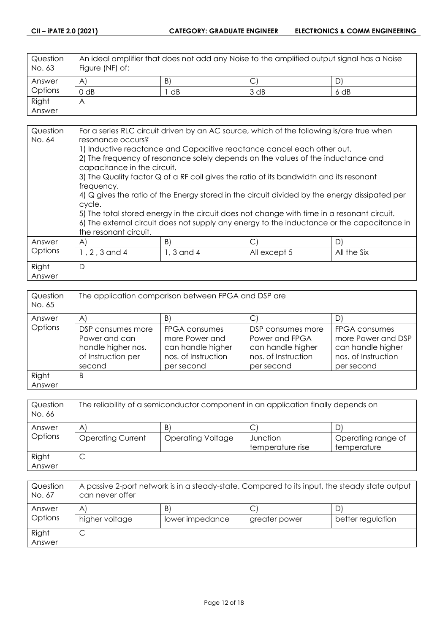| Question<br>No. 63 | An ideal amplifier that does not add any Noise to the amplified output signal has a Noise<br>Figure (NF) of: |    |      |        |
|--------------------|--------------------------------------------------------------------------------------------------------------|----|------|--------|
| Answer             | $\mathsf{A}$                                                                                                 | B. |      |        |
| <b>Options</b>     | $0$ dB                                                                                                       | dB | 3 dB | $6$ dB |
| Right              | Α                                                                                                            |    |      |        |
| Answer             |                                                                                                              |    |      |        |

| Question | For a series RLC circuit driven by an AC source, which of the following is/are true when |                                                                                               |              |             |
|----------|------------------------------------------------------------------------------------------|-----------------------------------------------------------------------------------------------|--------------|-------------|
| No. 64   | resonance occurs?                                                                        |                                                                                               |              |             |
|          | 1) Inductive reactance and Capacitive reactance cancel each other out.                   |                                                                                               |              |             |
|          | 2) The frequency of resonance solely depends on the values of the inductance and         |                                                                                               |              |             |
|          | capacitance in the circuit.                                                              |                                                                                               |              |             |
|          |                                                                                          | 3) The Quality factor Q of a RF coil gives the ratio of its bandwidth and its resonant        |              |             |
|          | frequency.                                                                               |                                                                                               |              |             |
|          |                                                                                          | 4) Q gives the ratio of the Energy stored in the circuit divided by the energy dissipated per |              |             |
|          | cycle.                                                                                   |                                                                                               |              |             |
|          |                                                                                          | 5) The total stored energy in the circuit does not change with time in a resonant circuit.    |              |             |
|          |                                                                                          | 6) The external circuit does not supply any energy to the inductance or the capacitance in    |              |             |
|          | the resonant circuit.                                                                    |                                                                                               |              |             |
|          |                                                                                          |                                                                                               |              |             |
| Answer   | A)                                                                                       | B)                                                                                            | $\mathsf{C}$ | D)          |
| Options  | 1, 2, 3 and 4                                                                            | 1, 3 and 4                                                                                    | All except 5 | All the Six |
| Right    | D                                                                                        |                                                                                               |              |             |
| Answer   |                                                                                          |                                                                                               |              |             |

| Question<br>No. 65 | The application comparison between FPGA and DSP are                                      |                                                                                           |                                                                                               |                                                                                               |
|--------------------|------------------------------------------------------------------------------------------|-------------------------------------------------------------------------------------------|-----------------------------------------------------------------------------------------------|-----------------------------------------------------------------------------------------------|
| Answer             | $\mathsf{A}$                                                                             | B)                                                                                        |                                                                                               | D                                                                                             |
| Options            | DSP consumes more<br>Power and can<br>handle higher nos.<br>of Instruction per<br>second | FPGA consumes<br>more Power and<br>can handle higher<br>nos. of Instruction<br>per second | DSP consumes more<br>Power and FPGA<br>can handle higher<br>nos. of Instruction<br>per second | FPGA consumes<br>more Power and DSP<br>can handle higher<br>nos. of Instruction<br>per second |
| Right<br>Answer    | B                                                                                        |                                                                                           |                                                                                               |                                                                                               |

| Question<br>No. 66 | The reliability of a semiconductor component in an application finally depends on |                          |                  |                    |
|--------------------|-----------------------------------------------------------------------------------|--------------------------|------------------|--------------------|
| Answer             | A                                                                                 | B)                       | С                |                    |
| Options            | <b>Operating Current</b>                                                          | <b>Operating Voltage</b> | Junction         | Operating range of |
|                    |                                                                                   |                          | temperature rise | temperature        |
| Right              | C                                                                                 |                          |                  |                    |
| Answer             |                                                                                   |                          |                  |                    |

| Question<br>No. 67 | A passive 2-port network is in a steady-state. Compared to its input, the steady state output<br>can never offer |                       |               |                   |
|--------------------|------------------------------------------------------------------------------------------------------------------|-----------------------|---------------|-------------------|
| Answer<br>Options  | $\mathsf{A}$<br>higher voltage                                                                                   | B'<br>lower impedance | greater power | better regulation |
| Right<br>Answer    | ◡                                                                                                                |                       |               |                   |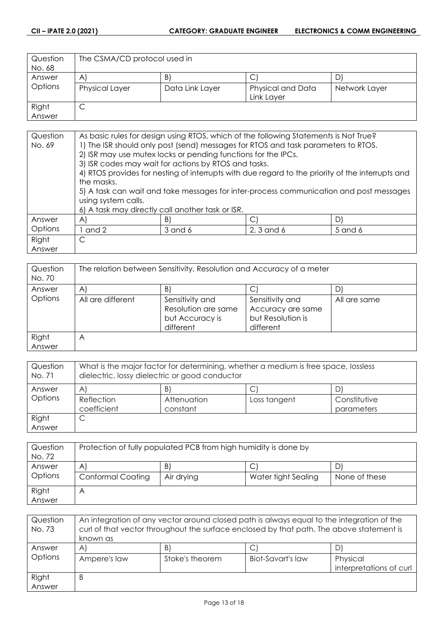| Question | The CSMA/CD protocol used in |                 |                   |               |
|----------|------------------------------|-----------------|-------------------|---------------|
| No. 68   |                              |                 |                   |               |
| Answer   | $\mathsf{A}^{\cdot}$         | $\vert B \vert$ | C                 | D.            |
| Options  | <b>Physical Layer</b>        | Data Link Layer | Physical and Data | Network Layer |
|          |                              |                 | Link Layer        |               |
| Right    | ٮ                            |                 |                   |               |
| Answer   |                              |                 |                   |               |

| Question | As basic rules for design using RTOS, which of the following Statements is Not True?             |                                                               |                                                                                        |         |
|----------|--------------------------------------------------------------------------------------------------|---------------------------------------------------------------|----------------------------------------------------------------------------------------|---------|
| No. 69   | 1) The ISR should only post (send) messages for RTOS and task parameters to RTOS.                |                                                               |                                                                                        |         |
|          |                                                                                                  | 2) ISR may use mutex locks or pending functions for the IPCs. |                                                                                        |         |
|          | 3) ISR codes may wait for actions by RTOS and tasks.                                             |                                                               |                                                                                        |         |
|          | 4) RTOS provides for nesting of interrupts with due regard to the priority of the interrupts and |                                                               |                                                                                        |         |
|          | the masks.                                                                                       |                                                               |                                                                                        |         |
|          |                                                                                                  |                                                               | 5) A task can wait and take messages for inter-process communication and post messages |         |
|          | using system calls.                                                                              |                                                               |                                                                                        |         |
|          |                                                                                                  | 6) A task may directly call another task or ISR.              |                                                                                        |         |
| Answer   | $\mathsf{A}$                                                                                     | B)                                                            | C.                                                                                     | D       |
| Options  | and 2                                                                                            | 3 and 6                                                       | 2, 3 and 6                                                                             | 5 and 6 |
| Right    | C                                                                                                |                                                               |                                                                                        |         |
| Answer   |                                                                                                  |                                                               |                                                                                        |         |

| Question<br>No. 70 | The relation between Sensitivity, Resolution and Accuracy of a meter |                                                                        |                                                                        |              |
|--------------------|----------------------------------------------------------------------|------------------------------------------------------------------------|------------------------------------------------------------------------|--------------|
| Answer             | A                                                                    | B'                                                                     |                                                                        |              |
| Options            | All are different                                                    | Sensitivity and<br>Resolution are same<br>but Accuracy is<br>different | Sensitivity and<br>Accuracy are same<br>but Resolution is<br>different | All are same |
| Right<br>Answer    | Α                                                                    |                                                                        |                                                                        |              |

| Question<br>No. 71 | What is the major factor for determining, whether a medium is free space, lossless<br>dielectric, lossy dielectric or good conductor |                         |              |                            |
|--------------------|--------------------------------------------------------------------------------------------------------------------------------------|-------------------------|--------------|----------------------------|
| Answer             | $\forall$                                                                                                                            | B                       |              |                            |
| Options            | Reflection<br>coefficient                                                                                                            | Attenuation<br>constant | Loss tangent | Constitutive<br>parameters |
| Right<br>Answer    | ◡                                                                                                                                    |                         |              |                            |

| Question<br>No. 72 | Protection of fully populated PCB from high humidity is done by |            |                     |               |
|--------------------|-----------------------------------------------------------------|------------|---------------------|---------------|
| Answer             | A                                                               | B)         | С                   |               |
| Options            | <b>Conformal Coating</b>                                        | Air drying | Water tight Sealing | None of these |
| Right              | Η                                                               |            |                     |               |
| Answer             |                                                                 |            |                     |               |

| Question<br>No. 73 | An integration of any vector around closed path is always equal to the integration of the<br>curl of that vector throughout the surface enclosed by that path. The above statement is<br>known as |                 |                   |                                     |
|--------------------|---------------------------------------------------------------------------------------------------------------------------------------------------------------------------------------------------|-----------------|-------------------|-------------------------------------|
| Answer             | $\mathsf{A}$                                                                                                                                                                                      | $\mathsf{B}$    |                   |                                     |
| Options            | Ampere's law                                                                                                                                                                                      | Stoke's theorem | Biot-Savart's law | Physical<br>interpretations of curl |
| Right              | B                                                                                                                                                                                                 |                 |                   |                                     |
| Answer             |                                                                                                                                                                                                   |                 |                   |                                     |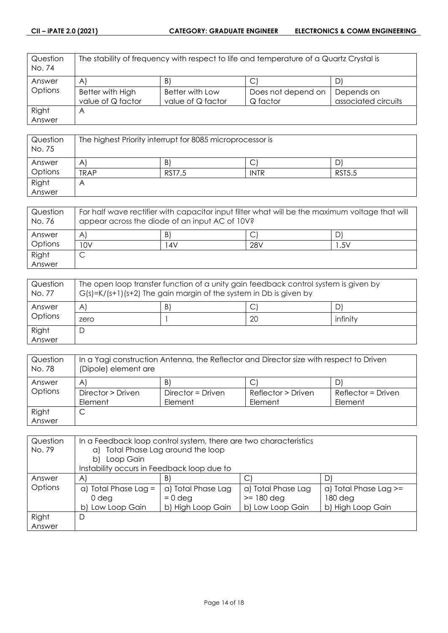| Question<br>No. 74 | The stability of frequency with respect to life and temperature of a Quartz Crystal is |                   |                    |                     |
|--------------------|----------------------------------------------------------------------------------------|-------------------|--------------------|---------------------|
| Answer             | $\mathsf{A}^{\mathsf{r}}$                                                              | B)                | C                  | D                   |
| Options            | Better with High                                                                       | Better with Low   | Does not depend on | Depends on          |
|                    | value of Q factor                                                                      | value of Q factor | Q factor           | associated circuits |
| Right              | Α                                                                                      |                   |                    |                     |
| Answer             |                                                                                        |                   |                    |                     |

| Question<br>No. 75 | The highest Priority interrupt for 8085 microprocessor is |               |             |               |
|--------------------|-----------------------------------------------------------|---------------|-------------|---------------|
| Answer             | A                                                         | B             | ◡           |               |
| Options            | <b>TRAP</b>                                               | <b>RST7,5</b> | <b>INTR</b> | <b>RST5.5</b> |
| Right              | A                                                         |               |             |               |
| Answer             |                                                           |               |             |               |

| Question<br>No. 76 | For half wave rectifier with capacitor input filter what will be the maximum voltage that will<br>appear across the diode of an input AC of 10V? |     |     |     |
|--------------------|--------------------------------------------------------------------------------------------------------------------------------------------------|-----|-----|-----|
| Answer             | A                                                                                                                                                | B   |     | D   |
| Options            | 10V                                                                                                                                              | 14V | 28V | .5V |
| Right              |                                                                                                                                                  |     |     |     |
| Answer             |                                                                                                                                                  |     |     |     |

| Question<br>No. 77 | The open loop transfer function of a unity gain feedback control system is given by<br>$G(s)=K/(s+1)(s+2)$ The gain margin of the system in Db is given by |   |    |          |
|--------------------|------------------------------------------------------------------------------------------------------------------------------------------------------------|---|----|----------|
| Answer             | A                                                                                                                                                          | B |    |          |
| Options            | zero                                                                                                                                                       |   | 20 | infinity |
| Right              | D                                                                                                                                                          |   |    |          |
| Answer             |                                                                                                                                                            |   |    |          |

| Question<br>No. 78 | In a Yagi construction Antenna, the Reflector and Director size with respect to Driven<br>(Dipole) element are |                   |                    |                    |
|--------------------|----------------------------------------------------------------------------------------------------------------|-------------------|--------------------|--------------------|
| Answer             | A                                                                                                              | B)                | C                  |                    |
| Options            | Director > Driven                                                                                              | Director = Driven | Reflector > Driven | Reflector = Driven |
|                    | Element                                                                                                        | Element           | Element            | Element            |
| Right              | С                                                                                                              |                   |                    |                    |
| Answer             |                                                                                                                |                   |                    |                    |

| Question<br>No. 79 | In a Feedback loop control system, there are two characteristics<br>Total Phase Lag around the loop<br>a)<br>Loop Gain<br>b) |                                                      |                                                        |                                                           |
|--------------------|------------------------------------------------------------------------------------------------------------------------------|------------------------------------------------------|--------------------------------------------------------|-----------------------------------------------------------|
|                    | Instability occurs in Feedback loop due to                                                                                   |                                                      |                                                        |                                                           |
| Answer             | A                                                                                                                            | B.                                                   | С                                                      |                                                           |
| Options            | a) Total Phase Lag $=$<br>0 deg<br>Low Loop Gain<br>bl                                                                       | a) Total Phase Lag<br>$= 0$ deg<br>b) High Loop Gain | a) Total Phase Lag<br>$>=$ 180 deg<br>b) Low Loop Gain | $a)$ Total Phase Lag $>=$<br>180 deg<br>b) High Loop Gain |
| Right<br>Answer    | D                                                                                                                            |                                                      |                                                        |                                                           |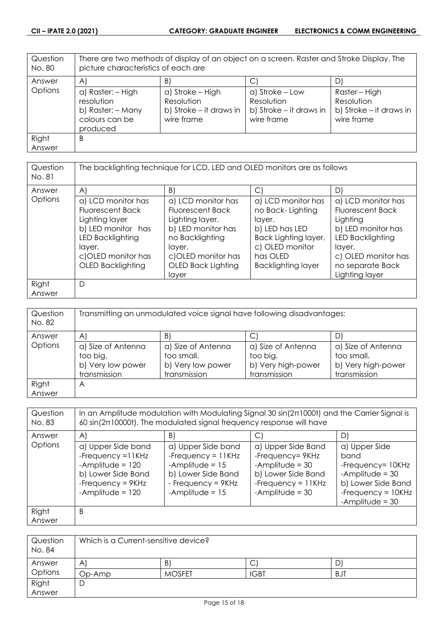| Question<br>No. 80 | There are two methods of display of an object on a screen. Raster and Stroke Display. The<br>picture characteristics of each are |                                                                         |                                                                        |                                                                      |
|--------------------|----------------------------------------------------------------------------------------------------------------------------------|-------------------------------------------------------------------------|------------------------------------------------------------------------|----------------------------------------------------------------------|
| Answer             | $\mathsf{A}$                                                                                                                     | B)                                                                      |                                                                        | D)                                                                   |
| Options            | a) Raster: - High<br>resolution<br>b) Raster: - Many<br>colours can be<br>produced                                               | a) Stroke – High<br>Resolution<br>b) Stroke – it draws in<br>wire frame | a) Stroke – Low<br>Resolution<br>b) Stroke – it draws in<br>wire frame | Raster – High<br>Resolution<br>b) Stroke – it draws in<br>wire frame |
| Right<br>Answer    | B                                                                                                                                |                                                                         |                                                                        |                                                                      |

| Question<br>No. 81 |                                                                                                                                                                       | The backlighting technique for LCD, LED and OLED monitors are as follows                                                                                                 |                                                                                                                                                               |                                                                                                                                                                            |
|--------------------|-----------------------------------------------------------------------------------------------------------------------------------------------------------------------|--------------------------------------------------------------------------------------------------------------------------------------------------------------------------|---------------------------------------------------------------------------------------------------------------------------------------------------------------|----------------------------------------------------------------------------------------------------------------------------------------------------------------------------|
| Answer             | $\mathsf{A}$                                                                                                                                                          | B)                                                                                                                                                                       | $\mathsf{C}$                                                                                                                                                  | D)                                                                                                                                                                         |
| Options            | a) LCD monitor has<br><b>Fluorescent Back</b><br>Lighting layer<br>b) LED monitor has<br>LED Backlighting<br>layer.<br>c)OLED monitor has<br><b>OLED Backlighting</b> | a) LCD monitor has<br><b>Fluorescent Back</b><br>Lighting layer.<br>b) LED monitor has<br>no Backlighting<br>layer.<br>c)OLED monitor has<br>OLED Back Lighting<br>layer | a) LCD monitor has<br>no Back-Lighting<br>layer.<br>b) LED has LED<br><b>Back Lighting layer.</b><br>c) OLED monitor<br>has OLED<br><b>Backlighting layer</b> | a) LCD monitor has<br><b>Fluorescent Back</b><br>Lighting<br>b) LED monitor has<br>LED Backlighting<br>layer.<br>c) OLED monitor has<br>no separate Back<br>Lighting layer |
| Right<br>Answer    | D                                                                                                                                                                     |                                                                                                                                                                          |                                                                                                                                                               |                                                                                                                                                                            |

| Question<br>No. 82 | Transmitting an unmodulated voice signal have following disadvantages: |                                                                       |                                                                      |                                                                        |
|--------------------|------------------------------------------------------------------------|-----------------------------------------------------------------------|----------------------------------------------------------------------|------------------------------------------------------------------------|
| Answer             | $\mathsf{A}$                                                           | B)                                                                    | С                                                                    |                                                                        |
| Options            | a) Size of Antenna<br>too big.<br>b) Very low power<br>transmission    | a) Size of Antenna<br>too small.<br>b) Very low power<br>transmission | a) Size of Antenna<br>too big.<br>b) Very high-power<br>transmission | a) Size of Antenna<br>too small.<br>b) Very high-power<br>transmission |
| Right<br>Answer    | Α                                                                      |                                                                       |                                                                      |                                                                        |

| Question<br>No. 83 | In an Amplitude modulation with Modulating Signal 30 $sin(2\pi 1000t)$ and the Carrier Signal is<br>$60 \sin(2\pi 10000t)$ . The modulated signal frequency response will have |                                                                                                                                    |                                                                                                                                |                                                                                                                                    |
|--------------------|--------------------------------------------------------------------------------------------------------------------------------------------------------------------------------|------------------------------------------------------------------------------------------------------------------------------------|--------------------------------------------------------------------------------------------------------------------------------|------------------------------------------------------------------------------------------------------------------------------------|
| Answer             | $\mathsf{A}$                                                                                                                                                                   | B)                                                                                                                                 | $\vert$ C                                                                                                                      | D)                                                                                                                                 |
| Options            | a) Upper Side band<br>-Frequency $=11$ KHz<br>-Amplitude = $120$<br>b) Lower Side Band<br>-Frequency = $9KHz$<br>-Amplitude = $120$                                            | a) Upper Side band<br>-Frequency = $11KHz$<br>-Amplitude = $15$<br>b) Lower Side Band<br>- Frequency = $9KHz$<br>-Amplitude = $15$ | a) Upper Side Band<br>-Frequency= 9KHz<br>-Amplitude = $30$<br>b) Lower Side Band<br>-Frequency = $11KHz$<br>-Amplitude = $30$ | a) Upper Side<br>band<br>-Frequency= 10KHz<br>-Amplitude = $30$<br>b) Lower Side Band<br>-Frequency $= 10KHz$<br>-Amplitude = $30$ |
| Right              | B                                                                                                                                                                              |                                                                                                                                    |                                                                                                                                |                                                                                                                                    |
| Answer             |                                                                                                                                                                                |                                                                                                                                    |                                                                                                                                |                                                                                                                                    |

| Question<br>No. 84 | Which is a Current-sensitive device? |               |             |     |
|--------------------|--------------------------------------|---------------|-------------|-----|
| Answer             | A                                    | B             | ◡           |     |
| Options            | Op-Amp                               | <b>MOSFET</b> | <b>IGBT</b> | BJT |
| Right              | D                                    |               |             |     |
| Answer             |                                      |               |             |     |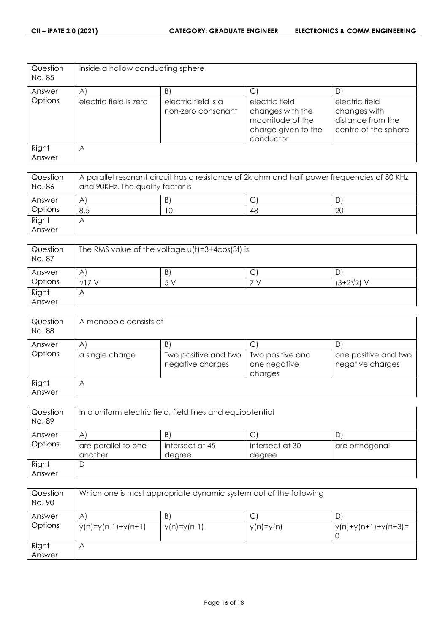| Question<br>No. 85 | Inside a hollow conducting sphere |                                           |                                                                                            |                                                                             |
|--------------------|-----------------------------------|-------------------------------------------|--------------------------------------------------------------------------------------------|-----------------------------------------------------------------------------|
| Answer             | $\mathsf{A}$                      | B)                                        |                                                                                            | D                                                                           |
| Options            | electric field is zero            | electric field is a<br>non-zero consonant | electric field<br>changes with the<br>magnitude of the<br>charge given to the<br>conductor | electric field<br>changes with<br>distance from the<br>centre of the sphere |
| Right<br>Answer    | A                                 |                                           |                                                                                            |                                                                             |

| Question<br>No. 86 | A parallel resonant circuit has a resistance of 2k ohm and half power frequencies of 80 KHz<br>and 90KHz. The quality factor is |   |    |           |
|--------------------|---------------------------------------------------------------------------------------------------------------------------------|---|----|-----------|
| Answer             | A                                                                                                                               | B |    | D         |
| Options            | 8.5                                                                                                                             |   | 48 | <b>20</b> |
| Right              | A                                                                                                                               |   |    |           |
| Answer             |                                                                                                                                 |   |    |           |

| Question<br>No. 87 | The RMS value of the voltage $u(t) = 3 + 4cos(3t)$ is |    |   |                   |  |
|--------------------|-------------------------------------------------------|----|---|-------------------|--|
| Answer             | A                                                     | B' | ◡ |                   |  |
| Options            | 7 <sub>1</sub>                                        |    |   | $(3+2\sqrt{2})$ V |  |
| Right              | $\forall$                                             |    |   |                   |  |
| Answer             |                                                       |    |   |                   |  |

| Question<br>No. 88 | A monopole consists of |                                          |                                             |                                          |  |
|--------------------|------------------------|------------------------------------------|---------------------------------------------|------------------------------------------|--|
| Answer             | $\mathsf{A}$           | B                                        | С                                           | D                                        |  |
| Options            | a single charge        | Two positive and two<br>negative charges | Two positive and<br>one negative<br>charges | one positive and two<br>negative charges |  |
| Right<br>Answer    | Α                      |                                          |                                             |                                          |  |

| Question<br>No. 89 | In a uniform electric field, field lines and equipotential |                 |                 |                |
|--------------------|------------------------------------------------------------|-----------------|-----------------|----------------|
| Answer             | $\mathsf{A}$                                               | B.              | C               |                |
| Options            | are parallel to one                                        | intersect at 45 | intersect at 30 | are orthogonal |
|                    | another                                                    | degree          | degree          |                |
| Right              | D                                                          |                 |                 |                |
| Answer             |                                                            |                 |                 |                |

| Question<br>No. 90 | Which one is most appropriate dynamic system out of the following |                    |                  |                            |
|--------------------|-------------------------------------------------------------------|--------------------|------------------|----------------------------|
| Answer<br>Options  | A<br>$y(n)=y(n-1)+y(n+1)$                                         | B<br>$y(n)=y(n-1)$ | С<br>$y(n)=y(n)$ | D<br>$y(n)+y(n+1)+y(n+3)=$ |
| Right<br>Answer    | Α                                                                 |                    |                  |                            |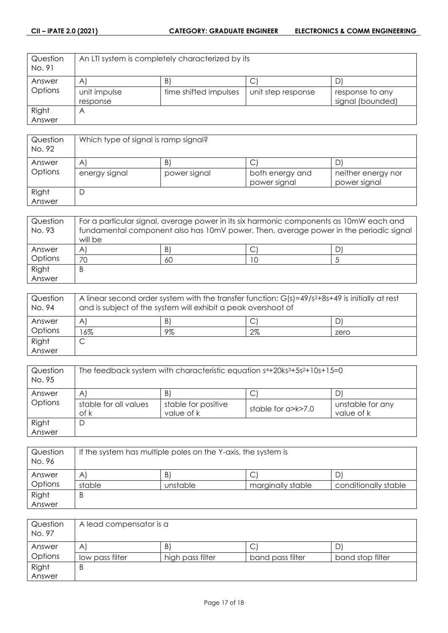| Question<br>No. 91 | An LTI system is completely characterized by its |                       |                    |                  |
|--------------------|--------------------------------------------------|-----------------------|--------------------|------------------|
| Answer             | $\mathsf{A}$                                     | B.                    | U                  |                  |
| Options            | unit impulse                                     | time shifted impulses | unit step response | response to any  |
|                    | response                                         |                       |                    | signal (bounded) |
| Right              | Α                                                |                       |                    |                  |
| Answer             |                                                  |                       |                    |                  |

| Question<br>No. 92 | Which type of signal is ramp signal? |              |                                 |                                    |  |
|--------------------|--------------------------------------|--------------|---------------------------------|------------------------------------|--|
| Answer             | A                                    | B)           |                                 |                                    |  |
| Options            | energy signal                        | power signal | both energy and<br>power signal | neither energy nor<br>power signal |  |
| Right<br>Answer    | D                                    |              |                                 |                                    |  |

| Question | For a particular signal, average power in its six harmonic components as 10mW each and           |    |  |   |
|----------|--------------------------------------------------------------------------------------------------|----|--|---|
| No. 93   | fundamental component also has 10mV power. Then, average power in the periodic signal<br>will be |    |  |   |
| Answer   | $\mathsf{A}$                                                                                     | B) |  | D |
| Options  | 70                                                                                               | 60 |  |   |
| Right    | B                                                                                                |    |  |   |
| Answer   |                                                                                                  |    |  |   |

| Question<br>No. 94 | A linear second order system with the transfer function: $G(s)=49/s^2+8s+49$ is initially at rest<br>and is subject of the system will exhibit a peak overshoot of |    |       |      |
|--------------------|--------------------------------------------------------------------------------------------------------------------------------------------------------------------|----|-------|------|
| Answer             | A                                                                                                                                                                  | B  |       |      |
| Options            | 6%                                                                                                                                                                 | 9% | $2\%$ | zero |
| Right              |                                                                                                                                                                    |    |       |      |
| Answer             |                                                                                                                                                                    |    |       |      |

| Question<br>No. 95 | The feedback system with characteristic equation $s4+20ks3+5s2+10s+15=0$ |                                   |                    |                                |
|--------------------|--------------------------------------------------------------------------|-----------------------------------|--------------------|--------------------------------|
| Answer             | A                                                                        | B                                 |                    | D.                             |
| Options            | stable for all values<br>of k                                            | stable for positive<br>value of k | stable for a>k>7.0 | unstable for any<br>value of k |
| Right              | D                                                                        |                                   |                    |                                |
| Answer             |                                                                          |                                   |                    |                                |

| Question<br>No. 96 | If the system has multiple poles on the Y-axis, the system is |          |                   |                      |
|--------------------|---------------------------------------------------------------|----------|-------------------|----------------------|
| Answer             | A                                                             | B        |                   |                      |
| Options            | stable                                                        | unstable | marginally stable | conditionally stable |
| Right              | B                                                             |          |                   |                      |
| Answer             |                                                               |          |                   |                      |

| Question<br>No. 97 | A lead compensator is a |                  |                  |                  |
|--------------------|-------------------------|------------------|------------------|------------------|
| Answer             | A                       | B                | ◡                |                  |
| Options            | low pass filter         | high pass filter | band pass filter | band stop filter |
| Right              | B                       |                  |                  |                  |
| Answer             |                         |                  |                  |                  |